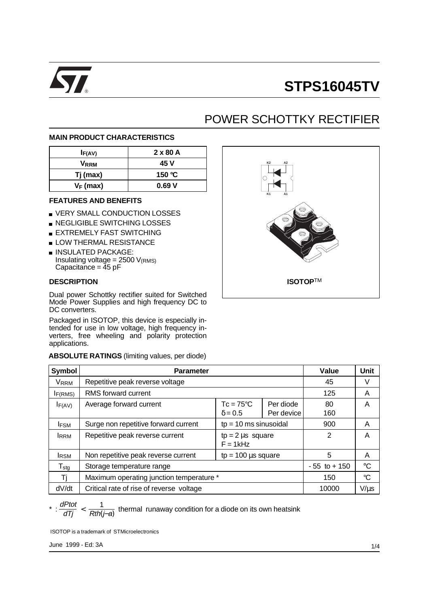

## ® **STPS16045TV**

### POWER SCHOTTKY RECTIFIER

### **MAIN PRODUCT CHARACTERISTICS**

| IF(AV)      | 2 x 80 A |
|-------------|----------|
| Vrrm        | 45 V     |
| Tj(max)     | 150 °C   |
| $V_F$ (max) | 0.69V    |

#### **FEATURES AND BENEFITS**

- **U VERY SMALL CONDUCTION LOSSES**
- **NEGLIGIBLE SWITCHING LOSSES**
- **EXTREMELY FAST SWITCHING**
- **LOW THERMAL RESISTANCE**
- **INSULATED PACKAGE:** Insulating voltage =  $2500$   $V_{(RMS)}$ Capacitance =  $45$  pF

### **DESCRIPTION**

Dual power Schottky rectifier suited for Switched Mode Power Supplies and high frequency DC to DC converters.

Packaged in ISOTOP, this device is especially intended for use in low voltage, high frequency inverters, free wheeling and polarity protection applications.

**ABSOLUTE RATINGS** (limiting values, per diode)

| K <sub>2</sub><br>$\mathsf{A2}$<br>K1<br>A1 |
|---------------------------------------------|
| <b>ISOTOPTM</b>                             |

| <b>Symbol</b>    | <b>Parameter</b>                         | Value                                | Unit                    |                 |             |
|------------------|------------------------------------------|--------------------------------------|-------------------------|-----------------|-------------|
| VRRM             | Repetitive peak reverse voltage          |                                      |                         | 45              | ٧           |
| IF(RMS)          | RMS forward current                      |                                      |                         | 125             | A           |
| $I_{F(AV)}$      | Average forward current                  | $Tc = 75^{\circ}C$<br>$\delta$ = 0.5 | Per diode<br>Per device | 80<br>160       | A           |
| <b>IFSM</b>      | Surge non repetitive forward current     | $tp = 10$ ms sinusoidal              |                         | 900             | A           |
| <b>IRRM</b>      | Repetitive peak reverse current          | $tp = 2 \mu s$ square<br>$F = 1kHz$  |                         | 2               | A           |
| <b>I</b> RSM     | Non repetitive peak reverse current      | $tp = 100 \mu s$ square              |                         | 5               | A           |
| $T_{\text{stg}}$ | Storage temperature range                |                                      |                         | $-55$ to $+150$ | $^{\circ}C$ |
| Τi               | Maximum operating junction temperature * |                                      |                         | 150             | °C          |
| dV/dt            | Critical rate of rise of reverse voltage |                                      |                         | 10000           | $V/\mu s$   |

# \* :  $\frac{dPtot}{dTj} < \frac{1}{Rth(j-a)}$  thermal runaway condition for a diode on its own heatsink

ISOTOP is a trademark of STMicroelectronics

June 1999 - Ed: 3A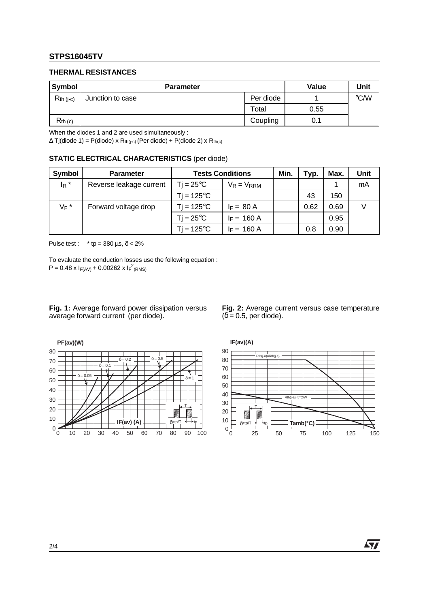### **STPS16045TV**

#### **THERMAL RESISTANCES**

| <b>Symbol</b>  | <b>Parameter</b> | Value     | Unit |               |
|----------------|------------------|-----------|------|---------------|
| $R_{th}$ (j-c) | Junction to case | Per diode |      | $\degree$ C/W |
|                |                  | Total     | 0.55 |               |
| $R_{th}$ (c)   |                  | Coupling  | 0.1  |               |

When the diodes 1 and 2 are used simultaneously :

 $\Delta$  Tj(diode 1) = P(diode) x R<sub>th(j-c)</sub> (Per diode) + P(diode 2) x R<sub>th(c)</sub>

|  | <b>STATIC ELECTRICAL CHARACTERISTICS (per diode)</b> |  |  |
|--|------------------------------------------------------|--|--|
|--|------------------------------------------------------|--|--|

| Symbol             | <b>Parameter</b>        | <b>Tests Conditions</b> |                 | Min. | Typ. | Max. | Unit |
|--------------------|-------------------------|-------------------------|-----------------|------|------|------|------|
| $I_R$ <sup>*</sup> | Reverse leakage current | $Ti = 25^{\circ}C$      | $V_R = V_{RRM}$ |      |      |      | mA   |
|                    |                         | $Ti = 125^{\circ}C$     |                 |      | 43   | 150  |      |
| $V_F$ *            | Forward voltage drop    | $Ti = 125^{\circ}C$     | $I_F = 80 A$    |      | 0.62 | 0.69 |      |
|                    |                         | $Ti = 25^{\circ}C$      | $I_F = 160 A$   |      |      | 0.95 |      |
|                    |                         | $Ti = 125^{\circ}C$     | $I_F = 160 A$   |      | 0.8  | 0.90 |      |

Pulse test : \* tp =  $380 \,\mu s$ ,  $\delta$  <  $2\%$ 

To evaluate the conduction losses use the following equation :  $P = 0.48 \times I_{F(AV)} + 0.00262 \times I_{F}^{2}$ (RMS)

**Fig. 1:** Average forward power dissipation versus average forward current (per diode).

**Fig. 2:** Average current versus case temperature  $(\delta = 0.5, \text{ per diode}).$ 



0 25 50 75 100 125 150  $0\frac{L}{0}$ 10 20 30 40 50 60 70 80 90 **Tamb(°C) IF(av)(A)** Rth(j-a)=5°C/W Rth(j-a)=Rth(j-c) T  $\delta$ =tp/T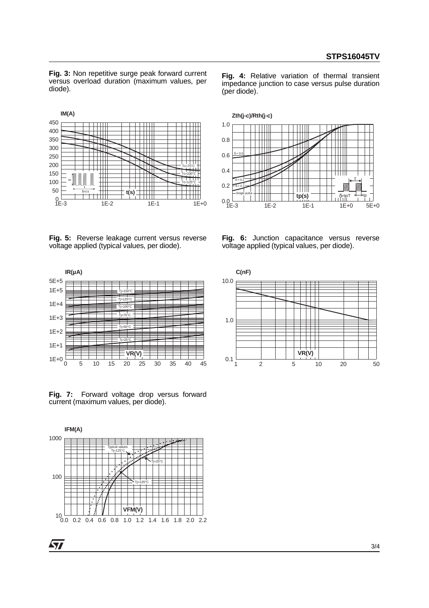**Fig. 3:** Non repetitive surge peak forward current versus overload duration (maximum values, per diode).



impedance junction to case versus pulse duration (per diode).

**Fig. 4:** Relative variation of thermal transient



**Fig. 5:** Reverse leakage current versus reverse voltage applied (typical values, per diode).





**Fig. 7:** Forward voltage drop versus forward current (maximum values, per diode).